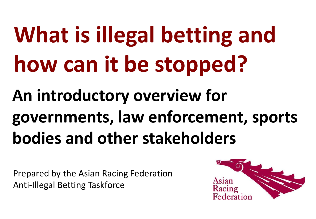# **What is illegal betting and how can it be stopped?**

# **An introductory overview for governments, law enforcement, sports bodies and other stakeholders**

Prepared by the Asian Racing Federation Anti-Illegal Betting Taskforce

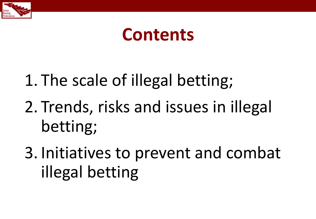

### **Contents**

1. The scale of illegal betting;

2. Trends, risks and issues in illegal betting;

3. Initiatives to prevent and combat illegal betting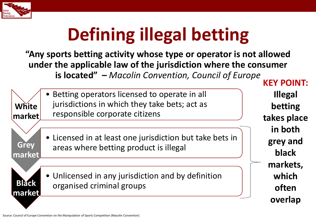

# **Defining illegal betting**

**"Any sports betting activity whose type or operator is not allowed under the applicable law of the jurisdiction where the consumer is located" –** *Macolin Convention, Council of Europe*

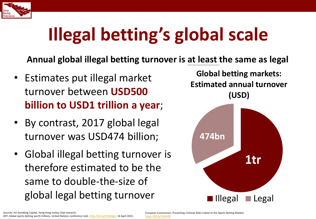

# **Illegal betting's global scale**

**Annual global illegal betting turnover is at least the same as legal**

- Estimates put illegal market turnover between **USD500 billion to USD1 trillion a year**;
- By contrast, 2017 global legal turnover was USD474 billion;
- Global illegal betting turnover is therefore estimated to be the same to double-the-size of global legal betting turnover

**Global betting markets: Estimated annual turnover (USD)**

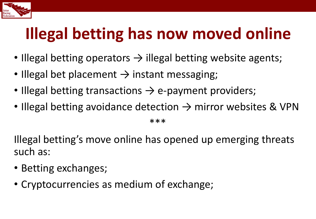

### **Illegal betting has now moved online**

- Illegal betting operators  $\rightarrow$  illegal betting website agents;
- Illegal bet placement  $\rightarrow$  instant messaging;
- Illegal betting transactions  $\rightarrow$  e-payment providers;
- Illegal betting avoidance detection  $\rightarrow$  mirror websites & VPN

\*\*\*

Illegal betting's move online has opened up emerging threats such as:

- Betting exchanges;
- Cryptocurrencies as medium of exchange;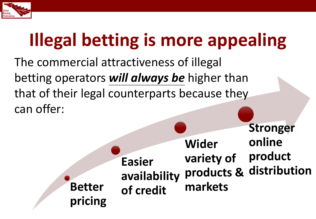

# **Illegal betting is more appealing**

The commercial attractiveness of illegal betting operators *will always be* higher than that of their legal counterparts because they can offer:

**Better pricing Easier availability of credit Wider variety of products & distribution markets Stronger online product**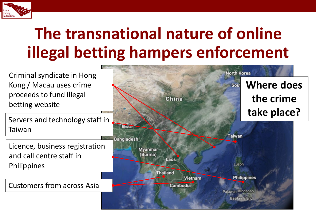

### **The transnational nature of online illegal betting hampers enforcement**

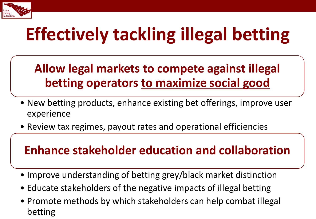

# **Effectively tackling illegal betting**

#### **Allow legal markets to compete against illegal betting operators to maximize social good**

- New betting products, enhance existing bet offerings, improve user experience
- Review tax regimes, payout rates and operational efficiencies

#### **Enhance stakeholder education and collaboration**

- Improve understanding of betting grey/black market distinction
- Educate stakeholders of the negative impacts of illegal betting
- Promote methods by which stakeholders can help combat illegal betting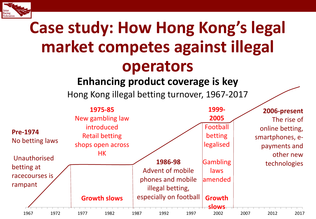

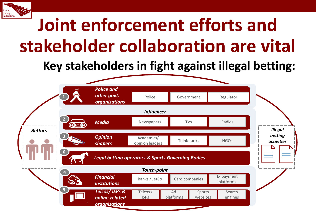

## **Joint enforcement efforts and stakeholder collaboration are vital**

#### **Key stakeholders in fight against illegal betting:**